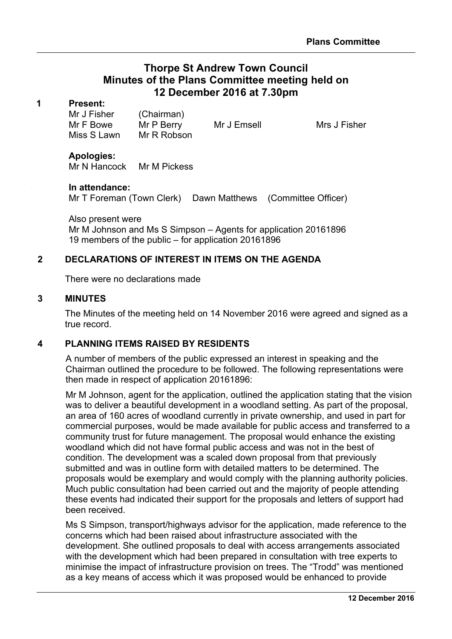# **Thorpe St Andrew Town Council Minutes of the Plans Committee meeting held on 12 December 2016 at 7.30pm**

#### **1 Present:**

Mr J Fisher (Chairman) Mr F Bowe Mr P Berry Mr J Emsell Mrs J Fisher Miss S Lawn Mr R Robson

#### **Apologies:**

Mr N Hancock Mr M Pickess

#### **3 In attendance:**

Mr T Foreman (Town Clerk) Dawn Matthews (Committee Officer)

Also present were Mr M Johnson and Ms S Simpson – Agents for application 20161896 19 members of the public – for application 20161896

### **2 DECLARATIONS OF INTEREST IN ITEMS ON THE AGENDA**

There were no declarations made

#### **3 MINUTES**

The Minutes of the meeting held on 14 November 2016 were agreed and signed as a true record.

#### **4 PLANNING ITEMS RAISED BY RESIDENTS**

A number of members of the public expressed an interest in speaking and the Chairman outlined the procedure to be followed. The following representations were then made in respect of application 20161896:

Mr M Johnson, agent for the application, outlined the application stating that the vision was to deliver a beautiful development in a woodland setting. As part of the proposal, an area of 160 acres of woodland currently in private ownership, and used in part for commercial purposes, would be made available for public access and transferred to a community trust for future management. The proposal would enhance the existing woodland which did not have formal public access and was not in the best of condition. The development was a scaled down proposal from that previously submitted and was in outline form with detailed matters to be determined. The proposals would be exemplary and would comply with the planning authority policies. Much public consultation had been carried out and the majority of people attending these events had indicated their support for the proposals and letters of support had been received.

Ms S Simpson, transport/highways advisor for the application, made reference to the concerns which had been raised about infrastructure associated with the development. She outlined proposals to deal with access arrangements associated with the development which had been prepared in consultation with tree experts to minimise the impact of infrastructure provision on trees. The "Trodd" was mentioned as a key means of access which it was proposed would be enhanced to provide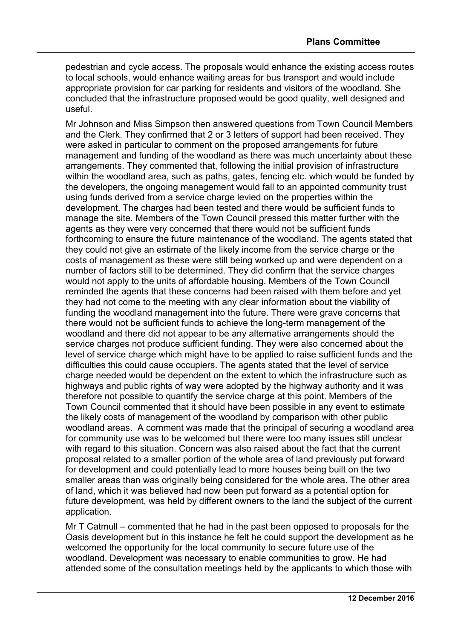pedestrian and cycle access. The proposals would enhance the existing access routes to local schools, would enhance waiting areas for bus transport and would include appropriate provision for car parking for residents and visitors of the woodland. She concluded that the infrastructure proposed would be good quality, well designed and useful.

Mr Johnson and Miss Simpson then answered questions from Town Council Members and the Clerk. They confirmed that 2 or 3 letters of support had been received. They were asked in particular to comment on the proposed arrangements for future management and funding of the woodland as there was much uncertainty about these arrangements. They commented that, following the initial provision of infrastructure within the woodland area, such as paths, gates, fencing etc. which would be funded by the developers, the ongoing management would fall to an appointed community trust using funds derived from a service charge levied on the properties within the development. The charges had been tested and there would be sufficient funds to manage the site. Members of the Town Council pressed this matter further with the agents as they were very concerned that there would not be sufficient funds forthcoming to ensure the future maintenance of the woodland. The agents stated that they could not give an estimate of the likely income from the service charge or the costs of management as these were still being worked up and were dependent on a number of factors still to be determined. They did confirm that the service charges would not apply to the units of affordable housing. Members of the Town Council reminded the agents that these concerns had been raised with them before and yet they had not come to the meeting with any clear information about the viability of funding the woodland management into the future. There were grave concerns that there would not be sufficient funds to achieve the long-term management of the woodland and there did not appear to be any alternative arrangements should the service charges not produce sufficient funding. They were also concerned about the level of service charge which might have to be applied to raise sufficient funds and the difficulties this could cause occupiers. The agents stated that the level of service charge needed would be dependent on the extent to which the infrastructure such as highways and public rights of way were adopted by the highway authority and it was therefore not possible to quantify the service charge at this point. Members of the Town Council commented that it should have been possible in any event to estimate the likely costs of management of the woodland by comparison with other public woodland areas. A comment was made that the principal of securing a woodland area for community use was to be welcomed but there were too many issues still unclear with regard to this situation. Concern was also raised about the fact that the current proposal related to a smaller portion of the whole area of land previously put forward for development and could potentially lead to more houses being built on the two smaller areas than was originally being considered for the whole area. The other area of land, which it was believed had now been put forward as a potential option for future development, was held by different owners to the land the subject of the current application.

Mr T Catmull – commented that he had in the past been opposed to proposals for the Oasis development but in this instance he felt he could support the development as he welcomed the opportunity for the local community to secure future use of the woodland. Development was necessary to enable communities to grow. He had attended some of the consultation meetings held by the applicants to which those with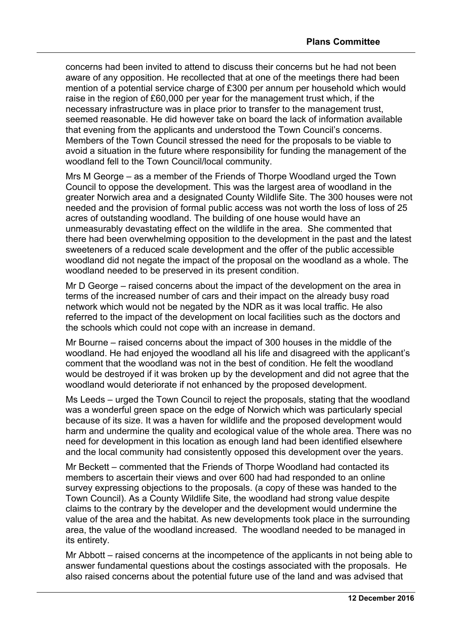concerns had been invited to attend to discuss their concerns but he had not been aware of any opposition. He recollected that at one of the meetings there had been mention of a potential service charge of £300 per annum per household which would raise in the region of £60,000 per year for the management trust which, if the necessary infrastructure was in place prior to transfer to the management trust, seemed reasonable. He did however take on board the lack of information available that evening from the applicants and understood the Town Council's concerns. Members of the Town Council stressed the need for the proposals to be viable to avoid a situation in the future where responsibility for funding the management of the woodland fell to the Town Council/local community.

Mrs M George – as a member of the Friends of Thorpe Woodland urged the Town Council to oppose the development. This was the largest area of woodland in the greater Norwich area and a designated County Wildlife Site. The 300 houses were not needed and the provision of formal public access was not worth the loss of loss of 25 acres of outstanding woodland. The building of one house would have an unmeasurably devastating effect on the wildlife in the area. She commented that there had been overwhelming opposition to the development in the past and the latest sweeteners of a reduced scale development and the offer of the public accessible woodland did not negate the impact of the proposal on the woodland as a whole. The woodland needed to be preserved in its present condition.

Mr D George – raised concerns about the impact of the development on the area in terms of the increased number of cars and their impact on the already busy road network which would not be negated by the NDR as it was local traffic. He also referred to the impact of the development on local facilities such as the doctors and the schools which could not cope with an increase in demand.

Mr Bourne – raised concerns about the impact of 300 houses in the middle of the woodland. He had enjoyed the woodland all his life and disagreed with the applicant's comment that the woodland was not in the best of condition. He felt the woodland would be destroyed if it was broken up by the development and did not agree that the woodland would deteriorate if not enhanced by the proposed development.

Ms Leeds – urged the Town Council to reject the proposals, stating that the woodland was a wonderful green space on the edge of Norwich which was particularly special because of its size. It was a haven for wildlife and the proposed development would harm and undermine the quality and ecological value of the whole area. There was no need for development in this location as enough land had been identified elsewhere and the local community had consistently opposed this development over the years.

Mr Beckett – commented that the Friends of Thorpe Woodland had contacted its members to ascertain their views and over 600 had had responded to an online survey expressing objections to the proposals. (a copy of these was handed to the Town Council). As a County Wildlife Site, the woodland had strong value despite claims to the contrary by the developer and the development would undermine the value of the area and the habitat. As new developments took place in the surrounding area, the value of the woodland increased. The woodland needed to be managed in its entirety.

Mr Abbott – raised concerns at the incompetence of the applicants in not being able to answer fundamental questions about the costings associated with the proposals. He also raised concerns about the potential future use of the land and was advised that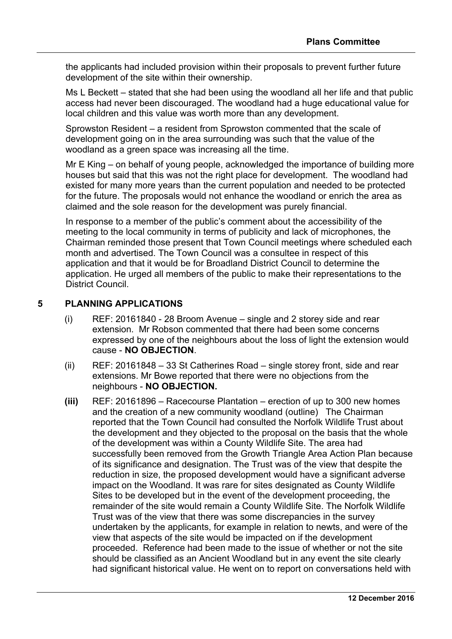the applicants had included provision within their proposals to prevent further future development of the site within their ownership.

Ms L Beckett – stated that she had been using the woodland all her life and that public access had never been discouraged. The woodland had a huge educational value for local children and this value was worth more than any development.

Sprowston Resident – a resident from Sprowston commented that the scale of development going on in the area surrounding was such that the value of the woodland as a green space was increasing all the time.

Mr E King – on behalf of young people, acknowledged the importance of building more houses but said that this was not the right place for development. The woodland had existed for many more years than the current population and needed to be protected for the future. The proposals would not enhance the woodland or enrich the area as claimed and the sole reason for the development was purely financial.

In response to a member of the public's comment about the accessibility of the meeting to the local community in terms of publicity and lack of microphones, the Chairman reminded those present that Town Council meetings where scheduled each month and advertised. The Town Council was a consultee in respect of this application and that it would be for Broadland District Council to determine the application. He urged all members of the public to make their representations to the District Council.

## **5 PLANNING APPLICATIONS**

- (i) REF: 20161840 28 Broom Avenue single and 2 storey side and rear extension. Mr Robson commented that there had been some concerns expressed by one of the neighbours about the loss of light the extension would cause - **NO OBJECTION**.
- (ii) REF: 20161848 33 St Catherines Road single storey front, side and rear extensions. Mr Bowe reported that there were no objections from the neighbours - **NO OBJECTION.**
- **(iii)** REF: 20161896 Racecourse Plantation erection of up to 300 new homes and the creation of a new community woodland (outline) The Chairman reported that the Town Council had consulted the Norfolk Wildlife Trust about the development and they objected to the proposal on the basis that the whole of the development was within a County Wildlife Site. The area had successfully been removed from the Growth Triangle Area Action Plan because of its significance and designation. The Trust was of the view that despite the reduction in size, the proposed development would have a significant adverse impact on the Woodland. It was rare for sites designated as County Wildlife Sites to be developed but in the event of the development proceeding, the remainder of the site would remain a County Wildlife Site. The Norfolk Wildlife Trust was of the view that there was some discrepancies in the survey undertaken by the applicants, for example in relation to newts, and were of the view that aspects of the site would be impacted on if the development proceeded. Reference had been made to the issue of whether or not the site should be classified as an Ancient Woodland but in any event the site clearly had significant historical value. He went on to report on conversations held with